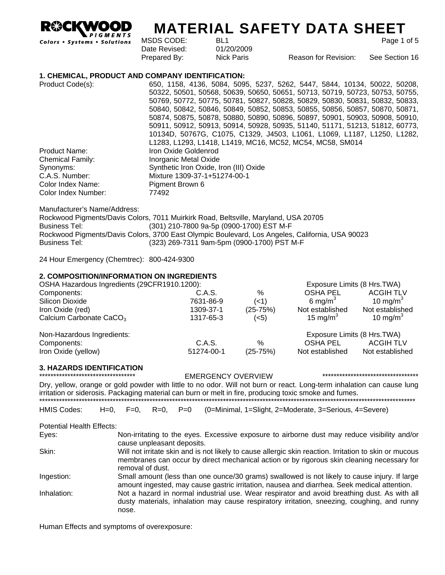**IGMENTS** 

# **MATERIAL SAFETY DATA SHEET**

Colors . Systems . Solutions

| MSDS CODE:    | BL1        |                      | Page 1 of 5    |
|---------------|------------|----------------------|----------------|
| Date Revised: | 01/20/2009 |                      |                |
| Prepared By:  | Nick Paris | Reason for Revision: | See Section 16 |

Prepared By: Nick Paris Reason for Revision: See Section 16

#### **1. CHEMICAL, PRODUCT AND COMPANY IDENTIFICATION:**

| Product Code(s):        | 650, 1158, 4136, 5084, 5095, 5237, 5262, 5447, 5844, 10134, 50022, 50208,    |
|-------------------------|------------------------------------------------------------------------------|
|                         | 50322, 50501, 50568, 50639, 50650, 50651, 50713, 50719, 50723, 50753, 50755, |
|                         | 50769, 50772, 50775, 50781, 50827, 50828, 50829, 50830, 50831, 50832, 50833, |
|                         | 50840, 50842, 50846, 50849, 50852, 50853, 50855, 50856, 50857, 50870, 50871, |
|                         | 50874, 50875, 50878, 50880, 50890, 50896, 50897, 50901, 50903, 50908, 50910, |
|                         | 50911, 50912, 50913, 50914, 50928, 50935, 51140, 51171, 51213, 51812, 60773, |
|                         | 10134D, 50767G, C1075, C1329, J4503, L1061, L1069, L1187, L1250, L1282,      |
|                         | L1283, L1293, L1418, L1419, MC16, MC52, MC54, MC58, SM014                    |
| Product Name:           | Iron Oxide Goldenrod                                                         |
| <b>Chemical Family:</b> | Inorganic Metal Oxide                                                        |
| Synonyms:               | Synthetic Iron Oxide, Iron (III) Oxide                                       |
| C.A.S. Number:          | Mixture 1309-37-1+51274-00-1                                                 |
| Color Index Name:       | Pigment Brown 6                                                              |
| Color Index Number:     | 77492                                                                        |

Manufacturer's Name/Address:

Rockwood Pigments/Davis Colors, 7011 Muirkirk Road, Beltsville, Maryland, USA 20705 Business Tel: (301) 210-7800 9a-5p (0900-1700) EST M-F Rockwood Pigments/Davis Colors, 3700 East Olympic Boulevard, Los Angeles, California, USA 90023 Business Tel: (323) 269-7311 9am-5pm (0900-1700) PST M-F

24 Hour Emergency (Chemtrec): 800-424-9300

#### **2. COMPOSITION/INFORMATION ON INGREDIENTS**

| OSHA Hazardous Ingredients (29CFR1910.1200): |            |                  | Exposure Limits (8 Hrs. TWA) |                      |
|----------------------------------------------|------------|------------------|------------------------------|----------------------|
| Components:                                  | C.A.S.     | $\%$             | <b>OSHA PEL</b>              | <b>ACGIH TLV</b>     |
| Silicon Dioxide                              | 7631-86-9  | $($ < 1 $)$      | 6 mg/m <sup>3</sup>          | 10 mg/m <sup>3</sup> |
| Iron Oxide (red)                             | 1309-37-1  | $(25-75%)$       | Not established              | Not established      |
| Calcium Carbonate CaCO <sub>3</sub>          | 1317-65-3  | ( <sub>5</sub> ) | 15 mg/m <sup>3</sup>         | 10 mg/m <sup>3</sup> |
| Non-Hazardous Ingredients:                   |            |                  | Exposure Limits (8 Hrs. TWA) |                      |
| Components:                                  | C.A.S.     | $\%$             | OSHA PEL                     | <b>ACGIH TLV</b>     |
| Iron Oxide (yellow)                          | 51274-00-1 | $(25-75%)$       | Not established              | Not established      |

# **3. HAZARDS IDENTIFICATION**

\*\*\*\*\*\*\*\*\*\*\*\*\*\*\*\*\*\*\*\*\*\*\*\*\*\*\*\*\*\*\*\*\*\* EMERGENCY OVERVIEW \*\*\*\*\*\*\*\*\*\*\*\*\*\*\*\*\*\*\*\*\*\*\*\*\*\*\*\*\*\*\*\*\*\*

Dry, yellow, orange or gold powder with little to no odor. Will not burn or react. Long-term inhalation can cause lung irritation or siderosis. Packaging material can burn or melt in fire, producing toxic smoke and fumes. \*\*\*\*\*\*\*\*\*\*\*\*\*\*\*\*\*\*\*\*\*\*\*\*\*\*\*\*\*\*\*\*\*\*\*\*\*\*\*\*\*\*\*\*\*\*\*\*\*\*\*\*\*\*\*\*\*\*\*\*\*\*\*\*\*\*\*\*\*\*\*\*\*\*\*\*\*\*\*\*\*\*\*\*\*\*\*\*\*\*\*\*\*\*\*\*\*\*\*\*\*\*\*\*\*\*\*\*\*\*\*\*\*\*\*\*\*\*\*\*\*\*\*\*\*\*\*\*\*\*\*\*\*

HMIS Codes: H=0, F=0, R=0, P=0 (0=Minimal, 1=Slight, 2=Moderate, 3=Serious, 4=Severe)

Potential Health Effects:

| Eyes:       | Non-irritating to the eyes. Excessive exposure to airborne dust may reduce visibility and/or                                                                                                                             |
|-------------|--------------------------------------------------------------------------------------------------------------------------------------------------------------------------------------------------------------------------|
|             | cause unpleasant deposits.                                                                                                                                                                                               |
| Skin:       | Will not irritate skin and is not likely to cause allergic skin reaction. Irritation to skin or mucous<br>membranes can occur by direct mechanical action or by rigorous skin cleaning necessary for<br>removal of dust. |
| Ingestion:  | Small amount (less than one ounce/30 grams) swallowed is not likely to cause injury. If large<br>amount ingested, may cause gastric irritation, nausea and diarrhea. Seek medical attention.                             |
| Inhalation: | Not a hazard in normal industrial use. Wear respirator and avoid breathing dust. As with all<br>dusty materials, inhalation may cause respiratory irritation, sneezing, coughing, and runny<br>nose.                     |

Human Effects and symptoms of overexposure: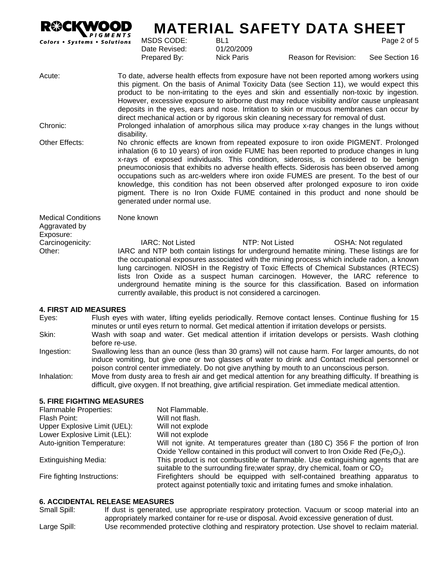

# **MATERIAL SAFETY DATA SHEET**

this pigment. On the basis of Animal Toxicity Data (see Section 11), we would expect this product to be non-irritating to the eyes and skin and essentially non-toxic by ingestion. However, excessive exposure to airborne dust may reduce visibility and/or cause unpleasant deposits in the eyes, ears and nose. Irritation to skin or mucous membranes can occur by

direct mechanical action or by rigorous skin cleaning necessary for removal of dust.

MSDS CODE: BL1 Page 2 of 5 Date Revised: 01/20/2009

Acute: To date, adverse health effects from exposure have not been reported among workers using

Prepared By: Nick Paris Reason for Revision: See Section 16

Chronic: Prolonged inhalation of amorphous silica may produce x-ray changes in the lungs without

disability. Other Effects: No chronic effects are known from repeated exposure to iron oxide PIGMENT. Prolonged inhalation (6 to 10 years) of iron oxide FUME has been reported to produce changes in lung x-rays of exposed individuals. This condition, siderosis, is considered to be benign pneumoconiosis that exhibits no adverse health effects. Siderosis has been observed among occupations such as arc-welders where iron oxide FUMES are present. To the best of our knowledge, this condition has not been observed after prolonged exposure to iron oxide pigment. There is no Iron Oxide FUME contained in this product and none should be generated under normal use.

Medical Conditions Aggravated by Exposure: None known Carcinogenicity: IARC: Not Listed NTP: Not Listed OSHA: Not regulated Other: IARC and NTP both contain listings for underground hematite mining. These listings are for the occupational exposures associated with the mining process which include radon, a known lung carcinogen. NIOSH in the Registry of Toxic Effects of Chemical Substances (RTECS) lists Iron Oxide as a suspect human carcinogen. However, the IARC reference to underground hematite mining is the source for this classification. Based on information currently available, this product is not considered a carcinogen.

## **4. FIRST AID MEASURES**

Eyes: Flush eyes with water, lifting eyelids periodically. Remove contact lenses. Continue flushing for 15 minutes or until eyes return to normal. Get medical attention if irritation develops or persists.

- Skin: Wash with soap and water. Get medical attention if irritation develops or persists. Wash clothing before re-use.
- Ingestion: Swallowing less than an ounce (less than 30 grams) will not cause harm. For larger amounts, do not induce vomiting, but give one or two glasses of water to drink and Contact medical personnel or poison control center immediately. Do not give anything by mouth to an unconscious person.

Inhalation: Move from dusty area to fresh air and get medical attention for any breathing difficulty. If breathing is difficult, give oxygen. If not breathing, give artificial respiration. Get immediate medical attention.

#### **5. FIRE FIGHTING MEASURES**

| <b>Flammable Properties:</b> | Not Flammable.                                                                                                                                             |
|------------------------------|------------------------------------------------------------------------------------------------------------------------------------------------------------|
| Flash Point:                 | Will not flash.                                                                                                                                            |
| Upper Explosive Limit (UEL): | Will not explode                                                                                                                                           |
| Lower Explosive Limit (LEL): | Will not explode                                                                                                                                           |
| Auto-ignition Temperature:   | Will not ignite. At temperatures greater than (180 C) 356 F the portion of Iron                                                                            |
|                              | Oxide Yellow contained in this product will convert to Iron Oxide Red (Fe <sub>2</sub> O <sub>3</sub> ).                                                   |
| Extinguishing Media:         | This product is not combustible or flammable. Use extinguishing agents that are                                                                            |
|                              | suitable to the surrounding fire; water spray, dry chemical, foam or $CO2$                                                                                 |
| Fire fighting Instructions:  | Firefighters should be equipped with self-contained breathing apparatus to<br>protect against potentially toxic and irritating fumes and smoke inhalation. |

#### **6. ACCIDENTAL RELEASE MEASURES**

Small Spill: If dust is generated, use appropriate respiratory protection. Vacuum or scoop material into an appropriately marked container for re-use or disposal. Avoid excessive generation of dust. Large Spill: Use recommended protective clothing and respiratory protection. Use shovel to reclaim material.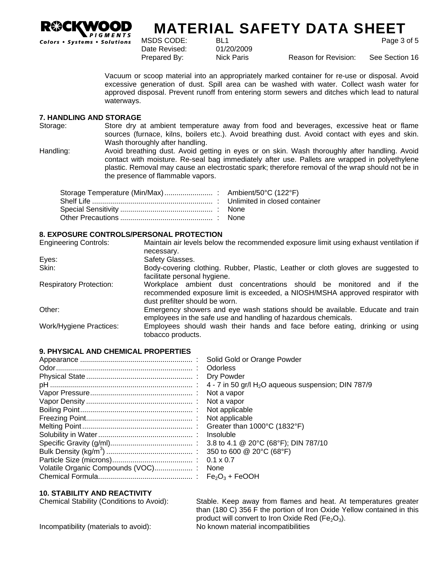

# **MATERIAL SAFETY DATA SHEET** MSDS CODE: BL1 BL1 Page 3 of 5

Date Revised: 01/20/2009

Prepared By: Nick Paris Reason for Revision: See Section 16

Vacuum or scoop material into an appropriately marked container for re-use or disposal. Avoid excessive generation of dust. Spill area can be washed with water. Collect wash water for approved disposal. Prevent runoff from entering storm sewers and ditches which lead to natural waterways.

# **7. HANDLING AND STORAGE**

Storage: Store dry at ambient temperature away from food and beverages, excessive heat or flame sources (furnace, kilns, boilers etc.). Avoid breathing dust. Avoid contact with eyes and skin. Wash thoroughly after handling.

Handling: Avoid breathing dust. Avoid getting in eyes or on skin. Wash thoroughly after handling. Avoid contact with moisture. Re-seal bag immediately after use. Pallets are wrapped in polyethylene plastic. Removal may cause an electrostatic spark; therefore removal of the wrap should not be in the presence of flammable vapors.

#### **8. EXPOSURE CONTROLS/PERSONAL PROTECTION**

| <b>Engineering Controls:</b>   | Maintain air levels below the recommended exposure limit using exhaust ventilation if                                                                                                   |  |  |  |
|--------------------------------|-----------------------------------------------------------------------------------------------------------------------------------------------------------------------------------------|--|--|--|
|                                | necessary.                                                                                                                                                                              |  |  |  |
| Eyes:                          | Safety Glasses.                                                                                                                                                                         |  |  |  |
| Skin:                          | Body-covering clothing. Rubber, Plastic, Leather or cloth gloves are suggested to                                                                                                       |  |  |  |
|                                | facilitate personal hygiene.                                                                                                                                                            |  |  |  |
| <b>Respiratory Protection:</b> | Workplace ambient dust concentrations should be monitored and if the<br>recommended exposure limit is exceeded, a NIOSH/MSHA approved respirator with<br>dust prefilter should be worn. |  |  |  |
| Other:                         | Emergency showers and eye wash stations should be available. Educate and train<br>employees in the safe use and handling of hazardous chemicals.                                        |  |  |  |
| Work/Hygiene Practices:        | Employees should wash their hands and face before eating, drinking or using<br>tobacco products.                                                                                        |  |  |  |

#### **9. PHYSICAL AND CHEMICAL PROPERTIES**

#### **10. STABILITY AND REACTIVITY**

Chemical Stability (Conditions to Avoid): Stable. Keep away from flames and heat. At temperatures greater than (180 C) 356 F the portion of Iron Oxide Yellow contained in this product will convert to Iron Oxide Red (Fe<sub>2</sub>O<sub>3</sub>).

Incompatibility (materials to avoid): No known material incompatibilities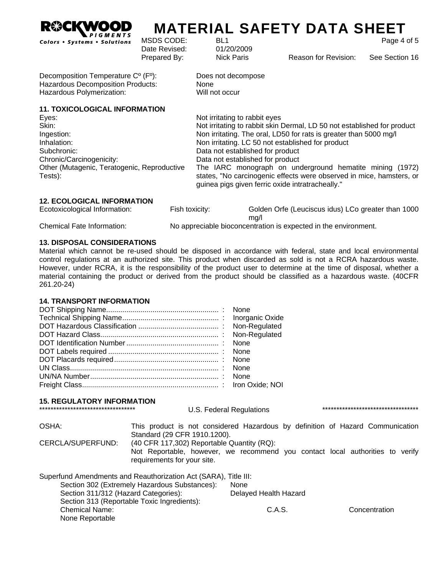

# **MATERIAL SAFETY DATA SHEET** MSDS CODE: BL1 Page 4 of 5

Date Revised: 01/20/2009

Prepared By: Nick Paris Reason for Revision: See Section 16

Decomposition Temperature Cº (Fº): Does not decompose Hazardous Decomposition Products: None Hazardous Polymerization: Will not occur

**11. TOXICOLOGICAL INFORMATION** 

| Eyes:                                                  | Not irritating to rabbit eyes                                                                                                                                                        |
|--------------------------------------------------------|--------------------------------------------------------------------------------------------------------------------------------------------------------------------------------------|
| Skin:                                                  | Not irritating to rabbit skin Dermal, LD 50 not established for product                                                                                                              |
| Ingestion:                                             | Non irritating. The oral, LD50 for rats is greater than 5000 mg/l                                                                                                                    |
| Inhalation:                                            | Non irritating. LC 50 not established for product                                                                                                                                    |
| Subchronic:                                            | Data not established for product                                                                                                                                                     |
| Chronic/Carcinogenicity:                               | Data not established for product                                                                                                                                                     |
| Other (Mutagenic, Teratogenic, Reproductive<br>Tests): | The IARC monograph on underground hematite mining (1972)<br>states, "No carcinogenic effects were observed in mice, hamsters, or<br>guinea pigs given ferric oxide intratracheally." |

## **12. ECOLOGICAL INFORMATION**

| Ecotoxicological Information:     | Fish toxicity: | Golden Orfe (Leuciscus idus) LCo greater than 1000              |
|-----------------------------------|----------------|-----------------------------------------------------------------|
|                                   |                | ma/l                                                            |
| <b>Chemical Fate Information:</b> |                | No appreciable bioconcentration is expected in the environment. |

## **13. DISPOSAL CONSIDERATIONS**

Material which cannot be re-used should be disposed in accordance with federal, state and local environmental control regulations at an authorized site. This product when discarded as sold is not a RCRA hazardous waste. However, under RCRA, it is the responsibility of the product user to determine at the time of disposal, whether a material containing the product or derived from the product should be classified as a hazardous waste. (40CFR 261.20-24)

## **14. TRANSPORT INFORMATION**

# **15. REGULATORY INFORMATION**

OSHA: This product is not considered Hazardous by definition of Hazard Communication Standard (29 CFR 1910.1200). CERCLA/SUPERFUND: (40 CFR 117,302) Reportable Quantity (RQ): Not Reportable, however, we recommend you contact local authorities to verify requirements for your site. Superfund Amendments and Reauthorization Act (SARA), Title III: Section 302 (Extremely Hazardous Substances): None Section 311/312 (Hazard Categories): Delayed Health Hazard Section 313 (Reportable Toxic Ingredients): Chemical Name: C.A.S. Concentration

None Reportable

\*\*\*\*\*\*\*\*\*\*\*\*\*\*\*\*\*\*\*\*\*\*\*\*\*\*\*\*\*\*\*\*\*\* U.S. Federal Regulations \*\*\*\*\*\*\*\*\*\*\*\*\*\*\*\*\*\*\*\*\*\*\*\*\*\*\*\*\*\*\*\*\*\*